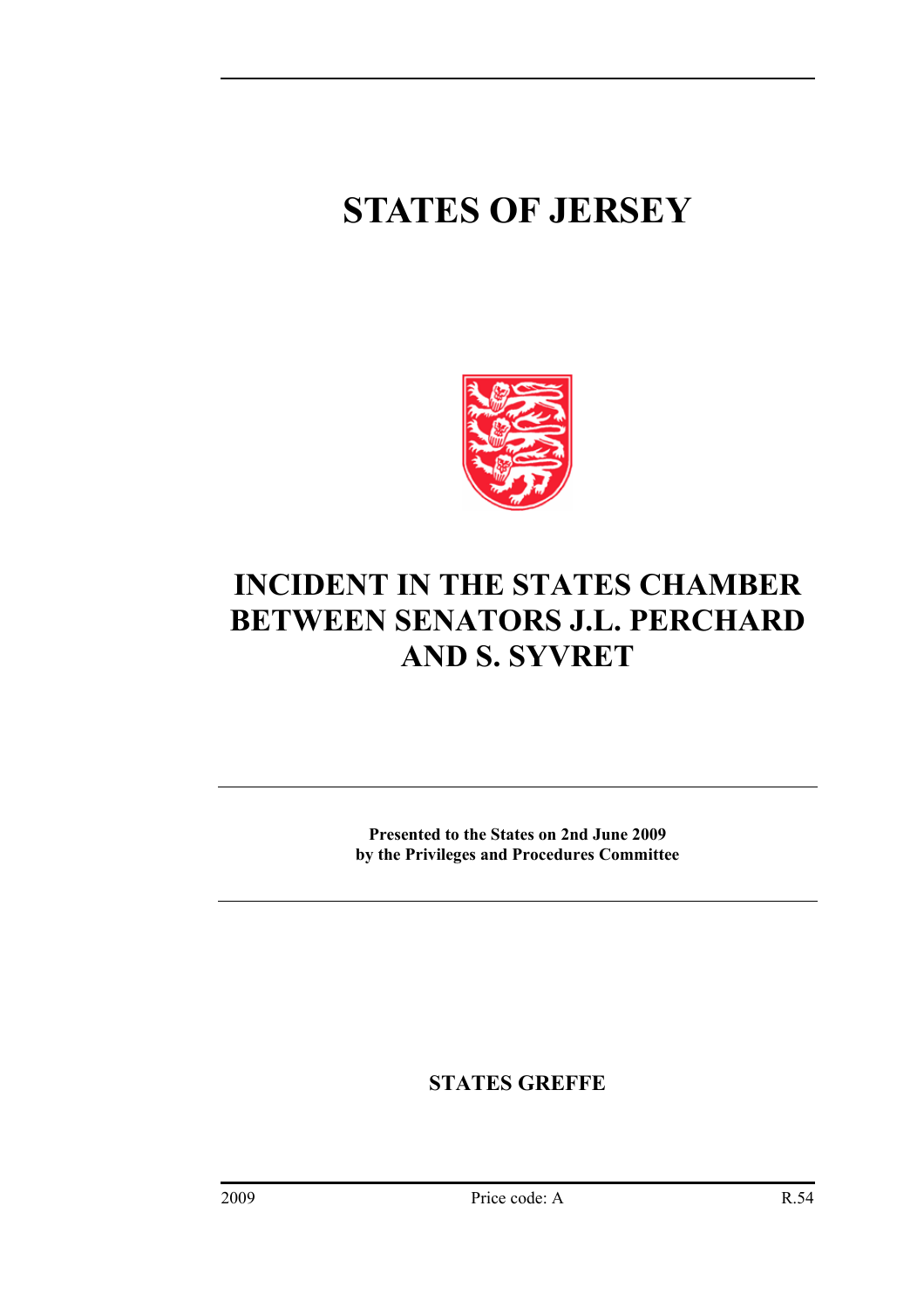## **STATES OF JERSEY**



## **INCIDENT IN THE STATES CHAMBER BETWEEN SENATORS J.L. PERCHARD AND S. SYVRET**

**Presented to the States on 2nd June 2009 by the Privileges and Procedures Committee** 

**STATES GREFFE**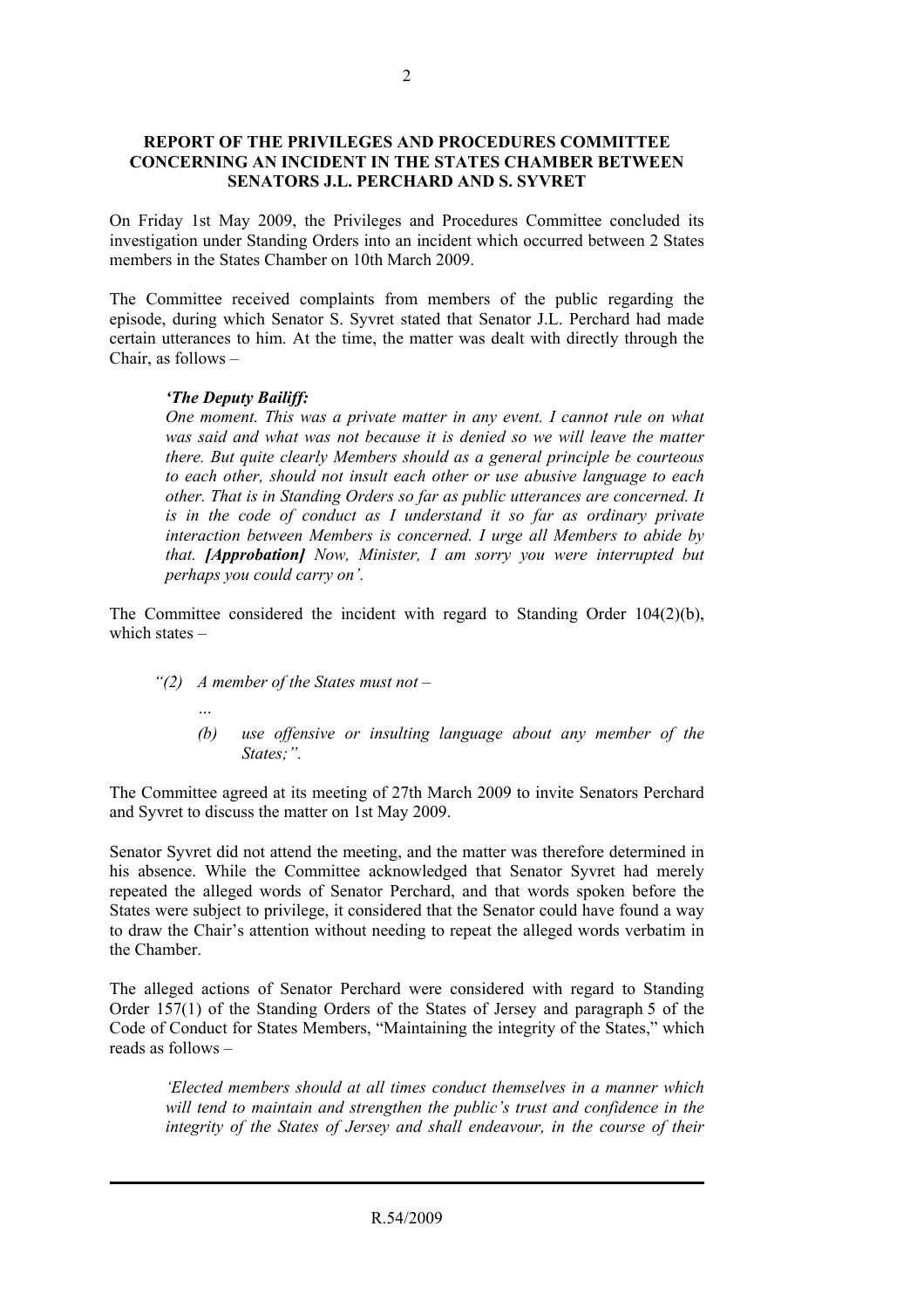## **REPORT OF THE PRIVILEGES AND PROCEDURES COMMITTEE CONCERNING AN INCIDENT IN THE STATES CHAMBER BETWEEN SENATORS J.L. PERCHARD AND S. SYVRET**

On Friday 1st May 2009, the Privileges and Procedures Committee concluded its investigation under Standing Orders into an incident which occurred between 2 States members in the States Chamber on 10th March 2009.

The Committee received complaints from members of the public regarding the episode, during which Senator S. Syvret stated that Senator J.L. Perchard had made certain utterances to him. At the time, the matter was dealt with directly through the Chair, as follows –

## *'The Deputy Bailiff:*

*One moment. This was a private matter in any event. I cannot rule on what was said and what was not because it is denied so we will leave the matter there. But quite clearly Members should as a general principle be courteous to each other, should not insult each other or use abusive language to each other. That is in Standing Orders so far as public utterances are concerned. It is in the code of conduct as I understand it so far as ordinary private interaction between Members is concerned. I urge all Members to abide by that. [Approbation] Now, Minister, I am sorry you were interrupted but perhaps you could carry on'.* 

The Committee considered the incident with regard to Standing Order 104(2)(b), which states –

- *"(2) A member of the States must not* 
	- *…*
	- *(b) use offensive or insulting language about any member of the States;".*

The Committee agreed at its meeting of 27th March 2009 to invite Senators Perchard and Syvret to discuss the matter on 1st May 2009.

Senator Syvret did not attend the meeting, and the matter was therefore determined in his absence. While the Committee acknowledged that Senator Syvret had merely repeated the alleged words of Senator Perchard, and that words spoken before the States were subject to privilege, it considered that the Senator could have found a way to draw the Chair's attention without needing to repeat the alleged words verbatim in the Chamber.

The alleged actions of Senator Perchard were considered with regard to Standing Order 157(1) of the Standing Orders of the States of Jersey and paragraph 5 of the Code of Conduct for States Members, "Maintaining the integrity of the States," which reads as follows –

*'Elected members should at all times conduct themselves in a manner which will tend to maintain and strengthen the public's trust and confidence in the integrity of the States of Jersey and shall endeavour, in the course of their*